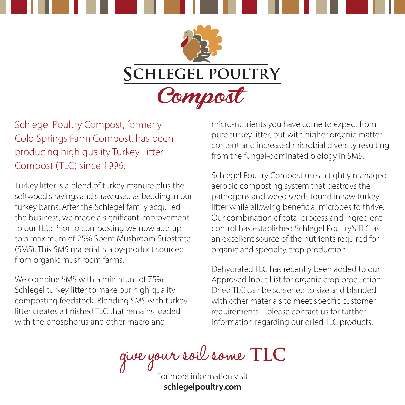



Schlegel Poultry Compost, formerly Cold Springs Farm Compost, has been producing high quality Turkey Litter Compost (TLC) since 1996.

Turkey litter is a blend of turkey manure plus the softwood shavings and straw used as bedding in our turkey barns. After the Schlegel family acquired the business, we made a significant improvement to our TLC: Prior to composting we now add up to a maximum of 25% Spent Mushroom Substrate (SMS). This SMS material is a by-product sourced from organic mushroom farms.

We combine SMS with a minimum of 75% Schlegel turkey litter to make our high quality composting feedstock. Blending SMS with turkey litter creates a finished TLC that remains loaded with the phosphorus and other macro and

micro-nutrients you have come to expect from pure turkey litter, but with higher organic matter content and increased microbial diversity resulting from the fungal-dominated biology in SMS.

Schlegel Poultry Compost uses a tightly managed aerobic composting system that destroys the pathogens and weed seeds found in raw turkey litter while allowing beneficial microbes to thrive. Our combination of total process and ingredient control has established Schlegel Poultry's TLC as an excellent source of the nutrients required for organic and specialty crop production.

Dehydrated TLC has recently been added to our Approved Input List for organic crop production. Dried TLC can be screened to size and blended with other materials to meet specific customer requirements – please contact us for further information regarding our dried TLC products.

give your soil some TLC

**schlegelpoultry.com**